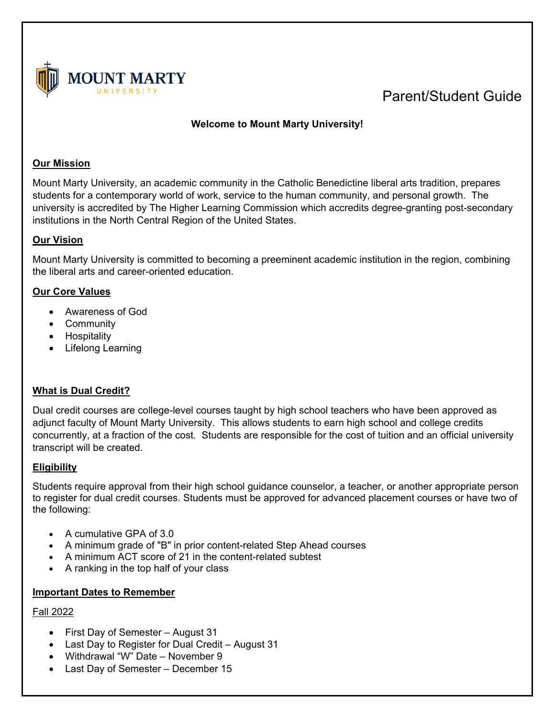

# Parent/Student Guide

## **Welcome to Mount Marty University!**

## **Our Mission**

Mount Marty University, an academic community in the Catholic Benedictine liberal arts tradition, prepares students for a contemporary world of work, service to the human community, and personal growth. The university is accredited by The Higher Learning Commission which accredits degree-granting post-secondary institutions in the North Central Region of the United States.

## **Our Vision**

Mount Marty University is committed to becoming a preeminent academic institution in the region, combining the liberal arts and career-oriented education.

## **Our Core Values**

- Awareness of God
- Community
- Hospitality
- Lifelong Learning

## **What is Dual Credit?**

Dual credit courses are college-level courses taught by high school teachers who have been approved as adjunct faculty of Mount Marty University. This allows students to earn high school and college credits concurrently, at a fraction of the cost. Students are responsible for the cost of tuition and an official university transcript will be created.

## **Eligibility**

Students require approval from their high school guidance counselor, a teacher, or another appropriate person to register for dual credit courses. Students must be approved for advanced placement courses or have two of the following:

- A cumulative GPA of 3.0
- A minimum grade of "B" in prior content-related Step Ahead courses
- A minimum ACT score of 21 in the content-related subtest
- A ranking in the top half of your class

#### **Important Dates to Remember**

#### Fall 2022

- First Day of Semester August 31
- Last Day to Register for Dual Credit August 31
- Withdrawal "W" Date November 9
- Last Day of Semester December 15